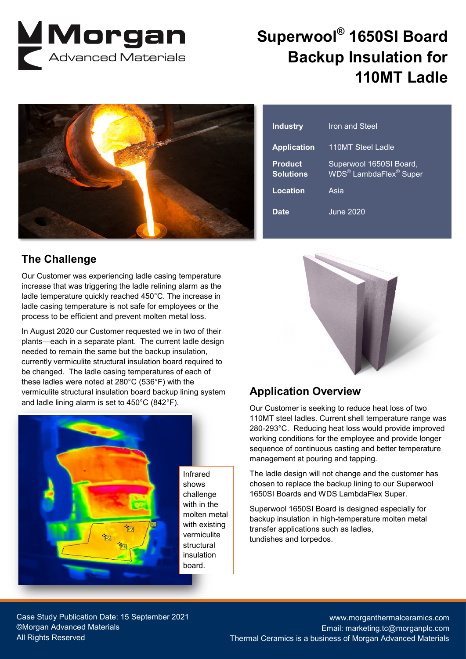

## **Superwool® 1650SI Board Backup Insulation for 110MT Ladle**



### **The Challenge**

Our Customer was experiencing ladle casing temperature increase that was triggering the ladle relining alarm as the ladle temperature quickly reached 450°C. The increase in ladle casing temperature is not safe for employees or the process to be efficient and prevent molten metal loss.

In August 2020 our Customer requested we in two of their plants—each in a separate plant. The current ladle design needed to remain the same but the backup insulation, currently vermiculite structural insulation board required to be changed. The ladle casing temperatures of each of these ladles were noted at 280°C (536°F) with the vermiculite structural insulation board backup lining system and ladle lining alarm is set to 450°C (842°F).



| <b>Industry</b>                    | <b>Iron and Steel</b>                                                     |
|------------------------------------|---------------------------------------------------------------------------|
| <b>Application</b>                 | 110MT Steel Ladle                                                         |
| <b>Product</b><br><b>Solutions</b> | Superwool 1650SI Board,<br>WDS <sup>®</sup> LambdaFlex <sup>®</sup> Super |
| Location                           | Asia                                                                      |
| <b>Date</b>                        | <b>June 2020</b>                                                          |



### **Application Overview**

Our Customer is seeking to reduce heat loss of two 110MT steel ladles. Current shell temperature range was 280-293°C. Reducing heat loss would provide improved working conditions for the employee and provide longer sequence of continuous casting and better temperature management at pouring and tapping.

The ladle design will not change and the customer has chosen to replace the backup lining to our Superwool 1650SI Boards and WDS LambdaFlex Super.

Superwool 1650SI Board is designed especially for backup insulation in high-temperature molten metal transfer applications such as ladles, tundishes and torpedos.

Case Study Publication Date: 15 September 2021 ©Morgan Advanced Materials All Rights Reserved